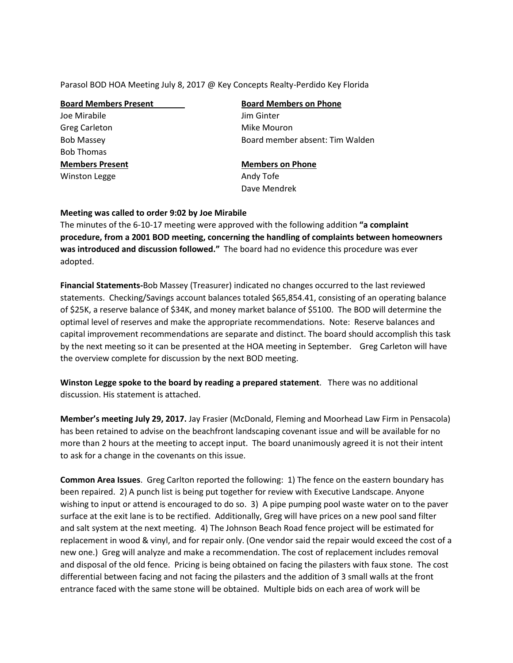Parasol BOD HOA Meeting July 8, 2017 @ Key Concepts Realty-Perdido Key Florida

| <b>Board Members Present</b> | <b>Board Members on Phone</b>   |
|------------------------------|---------------------------------|
| Joe Mirabile                 | Jim Ginter                      |
| Greg Carleton                | Mike Mouron                     |
| <b>Bob Massey</b>            | Board member absent: Tim Walden |
| <b>Bob Thomas</b>            |                                 |
| <b>Members Present</b>       | <b>Members on Phone</b>         |
| <b>Winston Legge</b>         | Andy Tofe                       |
|                              | Dave Mendrek                    |
|                              |                                 |

## **Meeting was called to order 9:02 by Joe Mirabile**

The minutes of the 6-10-17 meeting were approved with the following addition **"a complaint procedure, from a 2001 BOD meeting, concerning the handling of complaints between homeowners was introduced and discussion followed."** The board had no evidence this procedure was ever adopted.

**Financial Statements-**Bob Massey (Treasurer) indicated no changes occurred to the last reviewed statements. Checking/Savings account balances totaled \$65,854.41, consisting of an operating balance of \$25K, a reserve balance of \$34K, and money market balance of \$5100. The BOD will determine the optimal level of reserves and make the appropriate recommendations. Note: Reserve balances and capital improvement recommendations are separate and distinct. The board should accomplish this task by the next meeting so it can be presented at the HOA meeting in September. Greg Carleton will have the overview complete for discussion by the next BOD meeting.

**Winston Legge spoke to the board by reading a prepared statement**. There was no additional discussion. His statement is attached.

**Member's meeting July 29, 2017.** Jay Frasier (McDonald, Fleming and Moorhead Law Firm in Pensacola) has been retained to advise on the beachfront landscaping covenant issue and will be available for no more than 2 hours at the meeting to accept input. The board unanimously agreed it is not their intent to ask for a change in the covenants on this issue.

**Common Area Issues**. Greg Carlton reported the following: 1) The fence on the eastern boundary has been repaired. 2) A punch list is being put together for review with Executive Landscape. Anyone wishing to input or attend is encouraged to do so. 3) A pipe pumping pool waste water on to the paver surface at the exit lane is to be rectified. Additionally, Greg will have prices on a new pool sand filter and salt system at the next meeting. 4) The Johnson Beach Road fence project will be estimated for replacement in wood & vinyl, and for repair only. (One vendor said the repair would exceed the cost of a new one.) Greg will analyze and make a recommendation. The cost of replacement includes removal and disposal of the old fence. Pricing is being obtained on facing the pilasters with faux stone. The cost differential between facing and not facing the pilasters and the addition of 3 small walls at the front entrance faced with the same stone will be obtained. Multiple bids on each area of work will be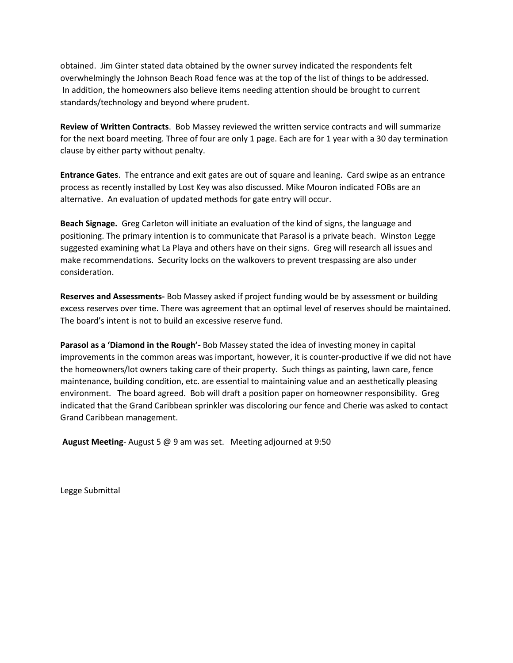obtained. Jim Ginter stated data obtained by the owner survey indicated the respondents felt overwhelmingly the Johnson Beach Road fence was at the top of the list of things to be addressed. In addition, the homeowners also believe items needing attention should be brought to current standards/technology and beyond where prudent.

**Review of Written Contracts**. Bob Massey reviewed the written service contracts and will summarize for the next board meeting. Three of four are only 1 page. Each are for 1 year with a 30 day termination clause by either party without penalty.

**Entrance Gates**. The entrance and exit gates are out of square and leaning. Card swipe as an entrance process as recently installed by Lost Key was also discussed. Mike Mouron indicated FOBs are an alternative. An evaluation of updated methods for gate entry will occur.

**Beach Signage.** Greg Carleton will initiate an evaluation of the kind of signs, the language and positioning. The primary intention is to communicate that Parasol is a private beach. Winston Legge suggested examining what La Playa and others have on their signs. Greg will research all issues and make recommendations. Security locks on the walkovers to prevent trespassing are also under consideration.

**Reserves and Assessments-** Bob Massey asked if project funding would be by assessment or building excess reserves over time. There was agreement that an optimal level of reserves should be maintained. The board's intent is not to build an excessive reserve fund.

**Parasol as a 'Diamond in the Rough'-** Bob Massey stated the idea of investing money in capital improvements in the common areas was important, however, it is counter-productive if we did not have the homeowners/lot owners taking care of their property. Such things as painting, lawn care, fence maintenance, building condition, etc. are essential to maintaining value and an aesthetically pleasing environment. The board agreed. Bob will draft a position paper on homeowner responsibility. Greg indicated that the Grand Caribbean sprinkler was discoloring our fence and Cherie was asked to contact Grand Caribbean management.

**August Meeting**- August 5 @ 9 am was set. Meeting adjourned at 9:50

Legge Submittal